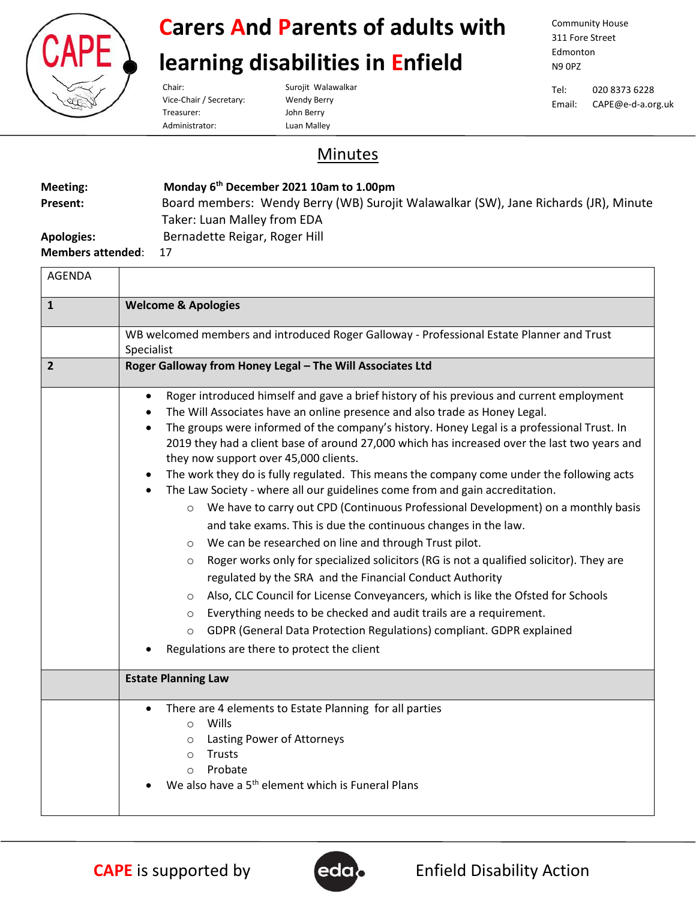

#### **Carers And Parents of adults with**

#### **learning disabilities in Enfield**

Vice-Chair / Secretary: Wendy Berry Treasurer: John Berry Administrator: Luan Malley

Chair: Surojit Walawalkar

Community House 311 Fore Street Edmonton N9 0PZ

Tel: 020 8373 6228 Email: CAPE@e-d-a.org.uk

#### Minutes

| Meeting:                 | Monday 6 <sup>th</sup> December 2021 10am to 1.00pm                                 |
|--------------------------|-------------------------------------------------------------------------------------|
| Present:                 | Board members: Wendy Berry (WB) Surojit Walawalkar (SW), Jane Richards (JR), Minute |
|                          | Taker: Luan Malley from EDA                                                         |
| <b>Apologies:</b>        | Bernadette Reigar, Roger Hill                                                       |
| <b>Members attended:</b> |                                                                                     |

| <b>AGENDA</b> |                                                                                                                                                                                                                                                                                                                                                                                                                                                                                                                                                                                                                                                                                                                                                                                                                                                                                                                                                                                                                                                                                                                                                                                                                                                                                                                                                             |
|---------------|-------------------------------------------------------------------------------------------------------------------------------------------------------------------------------------------------------------------------------------------------------------------------------------------------------------------------------------------------------------------------------------------------------------------------------------------------------------------------------------------------------------------------------------------------------------------------------------------------------------------------------------------------------------------------------------------------------------------------------------------------------------------------------------------------------------------------------------------------------------------------------------------------------------------------------------------------------------------------------------------------------------------------------------------------------------------------------------------------------------------------------------------------------------------------------------------------------------------------------------------------------------------------------------------------------------------------------------------------------------|
| $\mathbf{1}$  | <b>Welcome &amp; Apologies</b>                                                                                                                                                                                                                                                                                                                                                                                                                                                                                                                                                                                                                                                                                                                                                                                                                                                                                                                                                                                                                                                                                                                                                                                                                                                                                                                              |
|               | WB welcomed members and introduced Roger Galloway - Professional Estate Planner and Trust<br>Specialist                                                                                                                                                                                                                                                                                                                                                                                                                                                                                                                                                                                                                                                                                                                                                                                                                                                                                                                                                                                                                                                                                                                                                                                                                                                     |
| $\mathbf{2}$  | Roger Galloway from Honey Legal - The Will Associates Ltd                                                                                                                                                                                                                                                                                                                                                                                                                                                                                                                                                                                                                                                                                                                                                                                                                                                                                                                                                                                                                                                                                                                                                                                                                                                                                                   |
|               | Roger introduced himself and gave a brief history of his previous and current employment<br>$\bullet$<br>The Will Associates have an online presence and also trade as Honey Legal.<br>$\bullet$<br>The groups were informed of the company's history. Honey Legal is a professional Trust. In<br>$\bullet$<br>2019 they had a client base of around 27,000 which has increased over the last two years and<br>they now support over 45,000 clients.<br>The work they do is fully regulated. This means the company come under the following acts<br>The Law Society - where all our guidelines come from and gain accreditation.<br>We have to carry out CPD (Continuous Professional Development) on a monthly basis<br>$\circ$<br>and take exams. This is due the continuous changes in the law.<br>We can be researched on line and through Trust pilot.<br>$\circ$<br>Roger works only for specialized solicitors (RG is not a qualified solicitor). They are<br>$\circ$<br>regulated by the SRA and the Financial Conduct Authority<br>Also, CLC Council for License Conveyancers, which is like the Ofsted for Schools<br>$\circ$<br>Everything needs to be checked and audit trails are a requirement.<br>$\circ$<br>GDPR (General Data Protection Regulations) compliant. GDPR explained<br>$\circ$<br>Regulations are there to protect the client |
|               | <b>Estate Planning Law</b>                                                                                                                                                                                                                                                                                                                                                                                                                                                                                                                                                                                                                                                                                                                                                                                                                                                                                                                                                                                                                                                                                                                                                                                                                                                                                                                                  |
|               | There are 4 elements to Estate Planning for all parties<br>$\bullet$<br>Wills<br>$\circ$<br>Lasting Power of Attorneys<br>$\circ$<br>Trusts<br>$\circ$<br>Probate<br>$\circ$<br>We also have a 5 <sup>th</sup> element which is Funeral Plans                                                                                                                                                                                                                                                                                                                                                                                                                                                                                                                                                                                                                                                                                                                                                                                                                                                                                                                                                                                                                                                                                                               |



**CAPE** is supported by **Enfield Disability Action**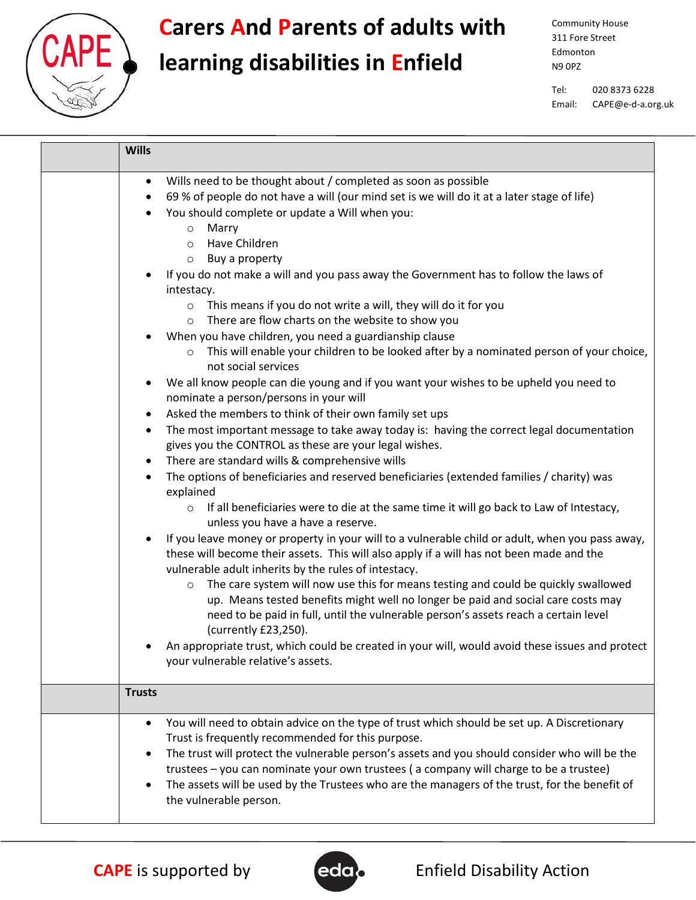

#### **Carers And Parents of adults with**

## **learning disabilities in Enfield**

Community House 311 Fore Street Edmonton N9 0PZ

Tel: 020 8373 6228 Email: CAPE@e-d-a.org.uk

| <b>Wills</b>                                                                                                                                                                                                                                                                                                                                                                                                                                                                                                                                                                                                                                                                                                                                                                                                                                         |
|------------------------------------------------------------------------------------------------------------------------------------------------------------------------------------------------------------------------------------------------------------------------------------------------------------------------------------------------------------------------------------------------------------------------------------------------------------------------------------------------------------------------------------------------------------------------------------------------------------------------------------------------------------------------------------------------------------------------------------------------------------------------------------------------------------------------------------------------------|
| Wills need to be thought about / completed as soon as possible<br>$\bullet$<br>69 % of people do not have a will (our mind set is we will do it at a later stage of life)<br>$\bullet$<br>You should complete or update a Will when you:<br>٠<br>Marry<br>$\circ$<br>Have Children<br>$\circ$<br>Buy a property<br>$\circ$<br>If you do not make a will and you pass away the Government has to follow the laws of<br>٠<br>intestacy.                                                                                                                                                                                                                                                                                                                                                                                                                |
| o This means if you do not write a will, they will do it for you<br>There are flow charts on the website to show you<br>$\circ$<br>When you have children, you need a guardianship clause<br>This will enable your children to be looked after by a nominated person of your choice,<br>$\circ$                                                                                                                                                                                                                                                                                                                                                                                                                                                                                                                                                      |
| not social services<br>We all know people can die young and if you want your wishes to be upheld you need to<br>$\bullet$<br>nominate a person/persons in your will<br>Asked the members to think of their own family set ups<br>$\bullet$<br>The most important message to take away today is: having the correct legal documentation<br>$\bullet$<br>gives you the CONTROL as these are your legal wishes.<br>There are standard wills & comprehensive wills<br>$\bullet$<br>The options of beneficiaries and reserved beneficiaries (extended families / charity) was<br>$\bullet$<br>explained<br>If all beneficiaries were to die at the same time it will go back to Law of Intestacy,<br>$\circ$<br>unless you have a have a reserve.<br>If you leave money or property in your will to a vulnerable child or adult, when you pass away,<br>٠ |
| these will become their assets. This will also apply if a will has not been made and the<br>vulnerable adult inherits by the rules of intestacy.<br>The care system will now use this for means testing and could be quickly swallowed<br>$\circ$<br>up. Means tested benefits might well no longer be paid and social care costs may<br>need to be paid in full, until the vulnerable person's assets reach a certain level<br>(currently £23,250).<br>An appropriate trust, which could be created in your will, would avoid these issues and protect<br>your vulnerable relative's assets.                                                                                                                                                                                                                                                        |
| <b>Trusts</b>                                                                                                                                                                                                                                                                                                                                                                                                                                                                                                                                                                                                                                                                                                                                                                                                                                        |
| You will need to obtain advice on the type of trust which should be set up. A Discretionary<br>$\bullet$<br>Trust is frequently recommended for this purpose.<br>The trust will protect the vulnerable person's assets and you should consider who will be the<br>$\bullet$<br>trustees - you can nominate your own trustees (a company will charge to be a trustee)<br>The assets will be used by the Trustees who are the managers of the trust, for the benefit of<br>$\bullet$<br>the vulnerable person.                                                                                                                                                                                                                                                                                                                                         |